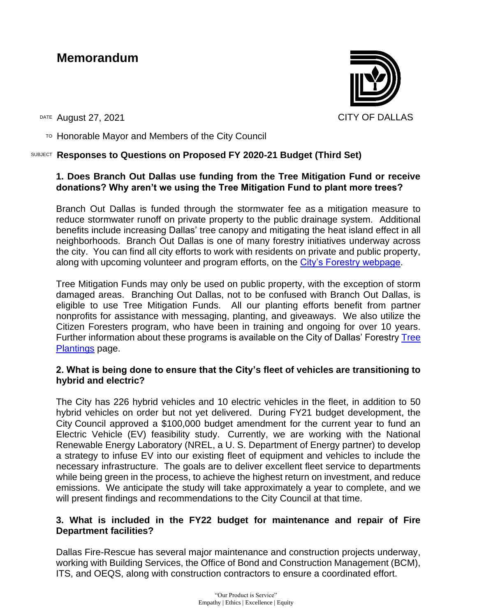# **Memorandum**

DATE August 27, 2021 CITY OF DALLAS

 $T$ <sup>O</sup> Honorable Mayor and Members of the City Council

# SUBJECT **Responses to Questions on Proposed FY 2020-21 Budget (Third Set)**

# **1. Does Branch Out Dallas use funding from the Tree Mitigation Fund or receive donations? Why aren't we using the Tree Mitigation Fund to plant more trees?**

Branch Out Dallas is funded through the stormwater fee as a mitigation measure to reduce stormwater runoff on private property to the public drainage system. Additional benefits include increasing Dallas' tree canopy and mitigating the heat island effect in all neighborhoods. Branch Out Dallas is one of many forestry initiatives underway across the city. You can find all city efforts to work with residents on private and public property, along with upcoming volunteer and program efforts, on the [City's Forestry webpage.](https://dallascityhall.com/projects/forestry/Pages/home.aspx)

Tree Mitigation Funds may only be used on public property, with the exception of storm damaged areas. Branching Out Dallas, not to be confused with Branch Out Dallas, is eligible to use Tree Mitigation Funds. All our planting efforts benefit from partner nonprofits for assistance with messaging, planting, and giveaways. We also utilize the Citizen Foresters program, who have been in training and ongoing for over 10 years. Further information about these programs is available on the City of Dallas' Forestry [Tree](https://dallascityhall.com/projects/forestry/Pages/tree-plantings.aspx)  [Plantings](https://dallascityhall.com/projects/forestry/Pages/tree-plantings.aspx) page.

### **2. What is being done to ensure that the City's fleet of vehicles are transitioning to hybrid and electric?**

The City has 226 hybrid vehicles and 10 electric vehicles in the fleet, in addition to 50 hybrid vehicles on order but not yet delivered. During FY21 budget development, the City Council approved a \$100,000 budget amendment for the current year to fund an Electric Vehicle (EV) feasibility study. Currently, we are working with the National Renewable Energy Laboratory (NREL, a U. S. Department of Energy partner) to develop a strategy to infuse EV into our existing fleet of equipment and vehicles to include the necessary infrastructure. The goals are to deliver excellent fleet service to departments while being green in the process, to achieve the highest return on investment, and reduce emissions. We anticipate the study will take approximately a year to complete, and we will present findings and recommendations to the City Council at that time.

# **3. What is included in the FY22 budget for maintenance and repair of Fire Department facilities?**

Dallas Fire-Rescue has several major maintenance and construction projects underway, working with Building Services, the Office of Bond and Construction Management (BCM), ITS, and OEQS, along with construction contractors to ensure a coordinated effort.



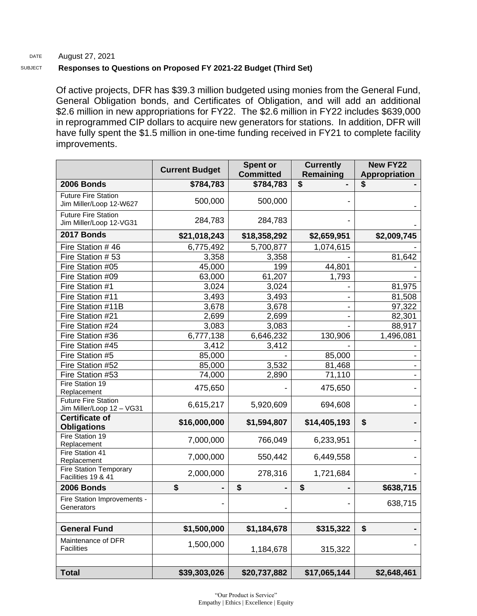#### DATE August 27, 2021

#### SUBJECT **Responses to Questions on Proposed FY 2021-22 Budget (Third Set)**

Of active projects, DFR has \$39.3 million budgeted using monies from the General Fund, General Obligation bonds, and Certificates of Obligation, and will add an additional \$2.6 million in new appropriations for FY22. The \$2.6 million in FY22 includes \$639,000 in reprogrammed CIP dollars to acquire new generators for stations. In addition, DFR will have fully spent the \$1.5 million in one-time funding received in FY21 to complete facility improvements.

|                                                         | <b>Current Budget</b> | <b>Spent or</b><br><b>Committed</b> | <b>Currently</b><br>Remaining | <b>New FY22</b><br><b>Appropriation</b> |
|---------------------------------------------------------|-----------------------|-------------------------------------|-------------------------------|-----------------------------------------|
| 2006 Bonds                                              | \$784,783             | \$784,783                           | \$                            | S                                       |
| <b>Future Fire Station</b><br>Jim Miller/Loop 12-W627   | 500,000               | 500,000                             |                               |                                         |
| <b>Future Fire Station</b><br>Jim Miller/Loop 12-VG31   | 284,783               | 284,783                             |                               |                                         |
| 2017 Bonds                                              | \$21,018,243          | \$18,358,292                        | \$2,659,951                   | \$2,009,745                             |
| Fire Station #46                                        | 6,775,492             | 5,700,877                           | 1,074,615                     |                                         |
| Fire Station #53                                        | 3,358                 | 3,358                               |                               | 81,642                                  |
| Fire Station #05                                        | 45,000                | 199                                 | 44,801                        |                                         |
| Fire Station #09                                        | 63,000                | 61,207                              | 1,793                         |                                         |
| Fire Station #1                                         | 3,024                 | 3,024                               |                               | 81,975                                  |
| Fire Station #11                                        | 3,493                 | 3,493                               |                               | 81,508                                  |
| Fire Station #11B                                       | 3,678                 | 3,678                               |                               | 97,322                                  |
| Fire Station #21                                        | 2,699                 | 2,699                               |                               | 82,301                                  |
| Fire Station #24                                        | 3,083                 | 3,083                               |                               | 88,917                                  |
| Fire Station #36                                        | 6,777,138             | 6,646,232                           | 130,906                       | 1,496,081                               |
| Fire Station #45                                        | 3,412                 | 3,412                               |                               |                                         |
| Fire Station #5                                         | 85,000                |                                     | 85,000                        |                                         |
| Fire Station #52                                        | 85,000                | 3,532                               | 81,468                        |                                         |
| Fire Station #53                                        | 74,000                | 2,890                               | 71,110                        |                                         |
| Fire Station 19<br>Replacement                          | 475,650               |                                     | 475,650                       |                                         |
| <b>Future Fire Station</b><br>Jim Miller/Loop 12 - VG31 | 6,615,217             | 5,920,609                           | 694,608                       |                                         |
| <b>Certificate of</b><br><b>Obligations</b>             | \$16,000,000          | \$1,594,807                         | \$14,405,193                  | \$                                      |
| Fire Station 19<br>Replacement                          | 7,000,000             | 766,049                             | 6,233,951                     |                                         |
| Fire Station 41<br>Replacement                          | 7,000,000             | 550,442                             | 6,449,558                     |                                         |
| <b>Fire Station Temporary</b><br>Facilities 19 & 41     | 2,000,000             | 278,316                             | 1,721,684                     |                                         |
| 2006 Bonds                                              | \$                    | \$                                  | \$                            | \$638,715                               |
| Fire Station Improvements -<br>Generators               |                       |                                     |                               | 638,715                                 |
| <b>General Fund</b>                                     | \$1,500,000           | \$1,184,678                         | \$315,322                     | \$                                      |
| Maintenance of DFR<br><b>Facilities</b>                 | 1,500,000             | 1,184,678                           | 315,322                       |                                         |
|                                                         |                       |                                     |                               |                                         |
| <b>Total</b>                                            | \$39,303,026          | \$20,737,882                        | \$17,065,144                  | \$2,648,461                             |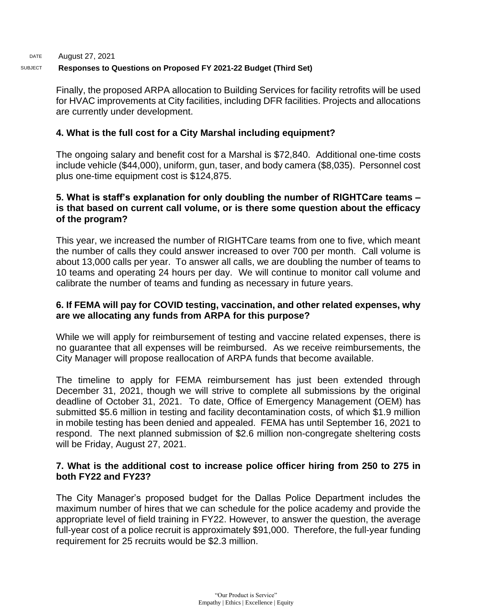Finally, the proposed ARPA allocation to Building Services for facility retrofits will be used for HVAC improvements at City facilities, including DFR facilities. Projects and allocations are currently under development.

# **4. What is the full cost for a City Marshal including equipment?**

The ongoing salary and benefit cost for a Marshal is \$72,840. Additional one-time costs include vehicle (\$44,000), uniform, gun, taser, and body camera (\$8,035). Personnel cost plus one-time equipment cost is \$124,875.

# **5. What is staff's explanation for only doubling the number of RIGHTCare teams – is that based on current call volume, or is there some question about the efficacy of the program?**

This year, we increased the number of RIGHTCare teams from one to five, which meant the number of calls they could answer increased to over 700 per month. Call volume is about 13,000 calls per year. To answer all calls, we are doubling the number of teams to 10 teams and operating 24 hours per day. We will continue to monitor call volume and calibrate the number of teams and funding as necessary in future years.

# **6. If FEMA will pay for COVID testing, vaccination, and other related expenses, why are we allocating any funds from ARPA for this purpose?**

While we will apply for reimbursement of testing and vaccine related expenses, there is no guarantee that all expenses will be reimbursed. As we receive reimbursements, the City Manager will propose reallocation of ARPA funds that become available.

The timeline to apply for FEMA reimbursement has just been extended through December 31, 2021, though we will strive to complete all submissions by the original deadline of October 31, 2021. To date, Office of Emergency Management (OEM) has submitted \$5.6 million in testing and facility decontamination costs, of which \$1.9 million in mobile testing has been denied and appealed. FEMA has until September 16, 2021 to respond. The next planned submission of \$2.6 million non-congregate sheltering costs will be Friday, August 27, 2021.

# **7. What is the additional cost to increase police officer hiring from 250 to 275 in both FY22 and FY23?**

The City Manager's proposed budget for the Dallas Police Department includes the maximum number of hires that we can schedule for the police academy and provide the appropriate level of field training in FY22. However, to answer the question, the average full-year cost of a police recruit is approximately \$91,000. Therefore, the full-year funding requirement for 25 recruits would be \$2.3 million.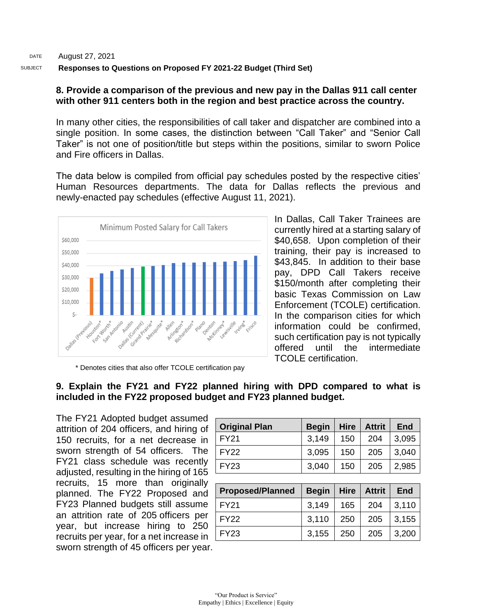### **8. Provide a comparison of the previous and new pay in the Dallas 911 call center with other 911 centers both in the region and best practice across the country.**

In many other cities, the responsibilities of call taker and dispatcher are combined into a single position. In some cases, the distinction between "Call Taker" and "Senior Call Taker" is not one of position/title but steps within the positions, similar to sworn Police and Fire officers in Dallas.

The data below is compiled from official pay schedules posted by the respective cities' Human Resources departments. The data for Dallas reflects the previous and newly-enacted pay schedules (effective August 11, 2021).



In Dallas, Call Taker Trainees are currently hired at a starting salary of \$40,658. Upon completion of their training, their pay is increased to \$43,845. In addition to their base pay, DPD Call Takers receive \$150/month after completing their basic Texas Commission on Law Enforcement (TCOLE) certification. In the comparison cities for which information could be confirmed, such certification pay is not typically offered until the intermediate TCOLE certification.

\* Denotes cities that also offer TCOLE certification pay

# **9. Explain the FY21 and FY22 planned hiring with DPD compared to what is included in the FY22 proposed budget and FY23 planned budget.**

The FY21 Adopted budget assumed attrition of 204 officers, and hiring of 150 recruits, for a net decrease in sworn strength of 54 officers. The FY21 class schedule was recently adjusted, resulting in the hiring of 165 recruits, 15 more than originally planned. The FY22 Proposed and FY23 Planned budgets still assume an attrition rate of 205 officers per year, but increase hiring to 250 recruits per year, for a net increase in sworn strength of 45 officers per year.

| <b>Original Plan</b> | <b>Begin</b> | <b>Hire</b> | <b>Attrit</b> | End   |
|----------------------|--------------|-------------|---------------|-------|
| <b>FY21</b>          | 3,149        | 150         | 204           | 3,095 |
| <b>FY22</b>          | 3,095        | 150         | 205           | 3,040 |
| <b>FY23</b>          | 3,040        | 150         | 205           | 2,985 |

| <b>Proposed/Planned</b> | Begin   Hire   Attrit   End |     |     |       |
|-------------------------|-----------------------------|-----|-----|-------|
| l FY21                  | 3,149                       | 165 | 204 | 3,110 |
| l FY22                  | 3,110                       | 250 | 205 | 3,155 |
| l FY23                  | 3,155                       | 250 | 205 | 3,200 |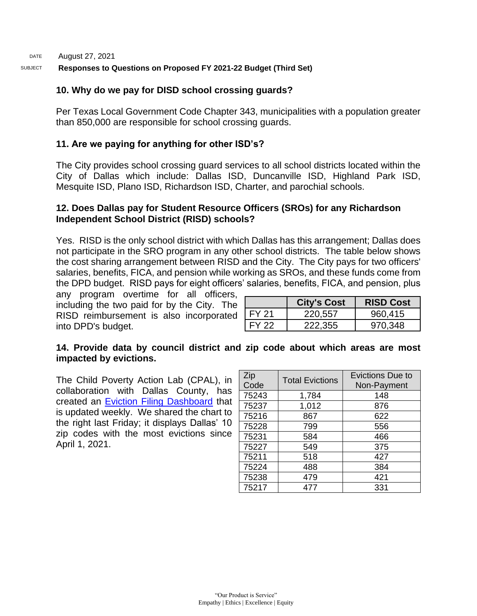# **10. Why do we pay for DISD school crossing guards?**

Per Texas Local Government Code Chapter 343, municipalities with a population greater than 850,000 are responsible for school crossing guards.

# **11. Are we paying for anything for other ISD's?**

The City provides school crossing guard services to all school districts located within the City of Dallas which include: Dallas ISD, Duncanville ISD, Highland Park ISD, Mesquite ISD, Plano ISD, Richardson ISD, Charter, and parochial schools.

### **12. Does Dallas pay for Student Resource Officers (SROs) for any Richardson Independent School District (RISD) schools?**

Yes. RISD is the only school district with which Dallas has this arrangement; Dallas does not participate in the SRO program in any other school districts. The table below shows the cost sharing arrangement between RISD and the City. The City pays for two officers' salaries, benefits, FICA, and pension while working as SROs, and these funds come from the DPD budget. RISD pays for eight officers' salaries, benefits, FICA, and pension, plus

any program overtime for all officers, including the two paid for by the City. The RISD reimbursement is also incorporated into DPD's budget.

|        | <b>City's Cost</b> | <b>RISD Cost</b> |
|--------|--------------------|------------------|
| FY 21  | 220,557            | 960,415          |
| FY 22. | 222.355            | 970.348          |

### **14. Provide data by council district and zip code about which areas are most impacted by evictions.**

The Child Poverty Action Lab (CPAL), in collaboration with Dallas County, has created an [Eviction Filing Dashboard](https://childpovertyactionlab.org/eviction-dashboard) that is updated weekly. We shared the chart to the right last Friday; it displays Dallas' 10 zip codes with the most evictions since April 1, 2021.

| Zip<br>Code | <b>Total Evictions</b> | Evictions Due to<br>Non-Payment |
|-------------|------------------------|---------------------------------|
| 75243       | 1,784                  | 148                             |
| 75237       | 1,012                  | 876                             |
| 75216       | 867                    | 622                             |
| 75228       | 799                    | 556                             |
| 75231       | 584                    | 466                             |
| 75227       | 549                    | 375                             |
| 75211       | 518                    | 427                             |
| 75224       | 488                    | 384                             |
| 75238       | 479                    | 421                             |
| 75217       | 477                    | 331                             |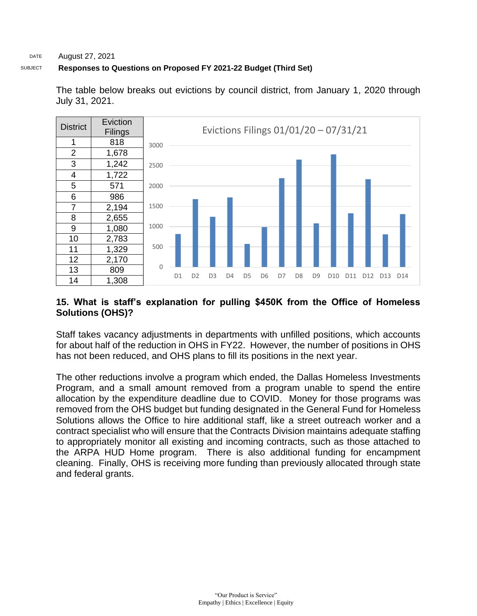#### DATE August 27, 2021

### SUBJECT **Responses to Questions on Proposed FY 2021-22 Budget (Third Set)**



The table below breaks out evictions by council district, from January 1, 2020 through July 31, 2021.

# **15. What is staff's explanation for pulling \$450K from the Office of Homeless Solutions (OHS)?**

Staff takes vacancy adjustments in departments with unfilled positions, which accounts for about half of the reduction in OHS in FY22. However, the number of positions in OHS has not been reduced, and OHS plans to fill its positions in the next year.

The other reductions involve a program which ended, the Dallas Homeless Investments Program, and a small amount removed from a program unable to spend the entire allocation by the expenditure deadline due to COVID. Money for those programs was removed from the OHS budget but funding designated in the General Fund for Homeless Solutions allows the Office to hire additional staff, like a street outreach worker and a contract specialist who will ensure that the Contracts Division maintains adequate staffing to appropriately monitor all existing and incoming contracts, such as those attached to the ARPA HUD Home program. There is also additional funding for encampment cleaning. Finally, OHS is receiving more funding than previously allocated through state and federal grants.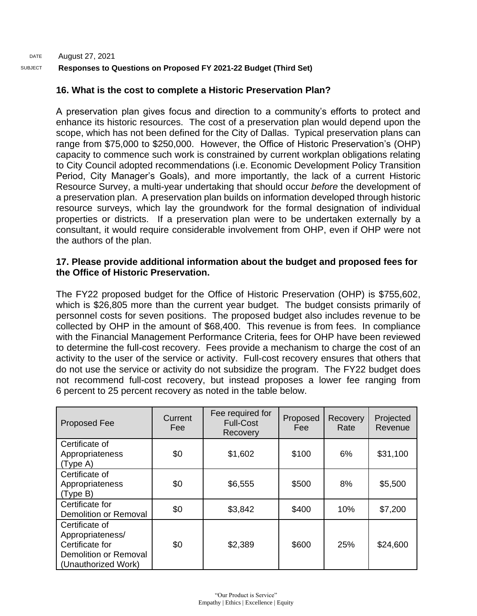# **16. What is the cost to complete a Historic Preservation Plan?**

A preservation plan gives focus and direction to a community's efforts to protect and enhance its historic resources. The cost of a preservation plan would depend upon the scope, which has not been defined for the City of Dallas. Typical preservation plans can range from \$75,000 to \$250,000. However, the Office of Historic Preservation's (OHP) capacity to commence such work is constrained by current workplan obligations relating to City Council adopted recommendations (i.e. Economic Development Policy Transition Period, City Manager's Goals), and more importantly, the lack of a current Historic Resource Survey, a multi-year undertaking that should occur *before* the development of a preservation plan. A preservation plan builds on information developed through historic resource surveys, which lay the groundwork for the formal designation of individual properties or districts. If a preservation plan were to be undertaken externally by a consultant, it would require considerable involvement from OHP, even if OHP were not the authors of the plan.

### **17. Please provide additional information about the budget and proposed fees for the Office of Historic Preservation.**

The FY22 proposed budget for the Office of Historic Preservation (OHP) is \$755,602, which is \$26,805 more than the current year budget. The budget consists primarily of personnel costs for seven positions. The proposed budget also includes revenue to be collected by OHP in the amount of \$68,400. This revenue is from fees. In compliance with the Financial Management Performance Criteria, fees for OHP have been reviewed to determine the full-cost recovery. Fees provide a mechanism to charge the cost of an activity to the user of the service or activity. Full-cost recovery ensures that others that do not use the service or activity do not subsidize the program. The FY22 budget does not recommend full-cost recovery, but instead proposes a lower fee ranging from 6 percent to 25 percent recovery as noted in the table below.

| <b>Proposed Fee</b>                                                                                   | Current<br>Fee: | Fee required for<br><b>Full-Cost</b><br>Recovery | Proposed<br>Fee: | Recovery<br>Rate | Projected<br>Revenue |
|-------------------------------------------------------------------------------------------------------|-----------------|--------------------------------------------------|------------------|------------------|----------------------|
| Certificate of<br>Appropriateness<br>(Type A)                                                         | \$0             | \$1,602                                          |                  | 6%               | \$31,100             |
| Certificate of<br>Appropriateness<br>(Type B)                                                         | \$0             | \$6,555                                          | \$500            | 8%               | \$5,500              |
| Certificate for<br><b>Demolition or Removal</b>                                                       | \$0             | \$3,842                                          | \$400            | 10%              | \$7,200              |
| Certificate of<br>Appropriateness/<br>Certificate for<br>Demolition or Removal<br>(Unauthorized Work) | \$0             | \$2,389                                          | \$600            | 25%              | \$24,600             |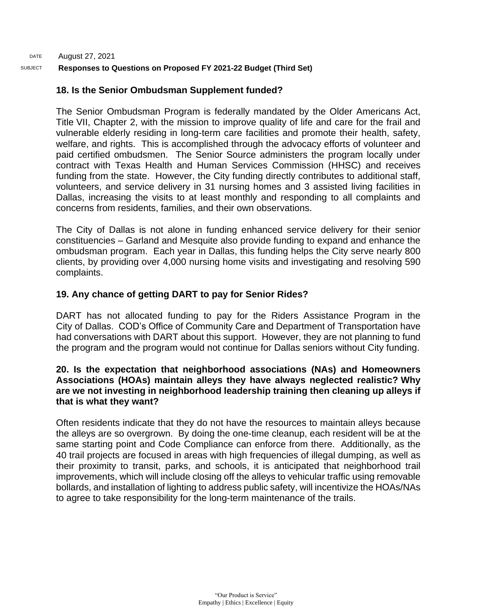# **18. Is the Senior Ombudsman Supplement funded?**

The Senior Ombudsman Program is federally mandated by the Older Americans Act, Title VII, Chapter 2, with the mission to improve quality of life and care for the frail and vulnerable elderly residing in long-term care facilities and promote their health, safety, welfare, and rights. This is accomplished through the advocacy efforts of volunteer and paid certified ombudsmen. The Senior Source administers the program locally under contract with Texas Health and Human Services Commission (HHSC) and receives funding from the state. However, the City funding directly contributes to additional staff, volunteers, and service delivery in 31 nursing homes and 3 assisted living facilities in Dallas, increasing the visits to at least monthly and responding to all complaints and concerns from residents, families, and their own observations.

The City of Dallas is not alone in funding enhanced service delivery for their senior constituencies – Garland and Mesquite also provide funding to expand and enhance the ombudsman program. Each year in Dallas, this funding helps the City serve nearly 800 clients, by providing over 4,000 nursing home visits and investigating and resolving 590 complaints.

# **19. Any chance of getting DART to pay for Senior Rides?**

DART has not allocated funding to pay for the Riders Assistance Program in the City of Dallas. COD's Office of Community Care and Department of Transportation have had conversations with DART about this support. However, they are not planning to fund the program and the program would not continue for Dallas seniors without City funding.

### **20. Is the expectation that neighborhood associations (NAs) and Homeowners Associations (HOAs) maintain alleys they have always neglected realistic? Why are we not investing in neighborhood leadership training then cleaning up alleys if that is what they want?**

Often residents indicate that they do not have the resources to maintain alleys because the alleys are so overgrown. By doing the one-time cleanup, each resident will be at the same starting point and Code Compliance can enforce from there. Additionally, as the 40 trail projects are focused in areas with high frequencies of illegal dumping, as well as their proximity to transit, parks, and schools, it is anticipated that neighborhood trail improvements, which will include closing off the alleys to vehicular traffic using removable bollards, and installation of lighting to address public safety, will incentivize the HOAs/NAs to agree to take responsibility for the long-term maintenance of the trails.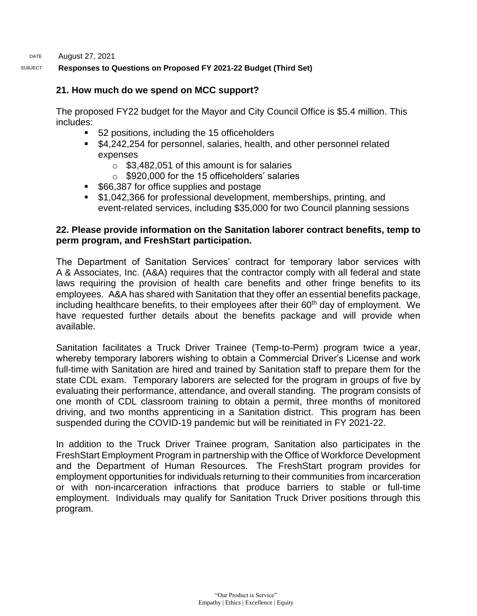DATE August 27, 2021

### SUBJECT **Responses to Questions on Proposed FY 2021-22 Budget (Third Set)**

### **21. How much do we spend on MCC support?**

The proposed FY22 budget for the Mayor and City Council Office is \$5.4 million. This includes:

- 52 positions, including the 15 officeholders
- \$4,242,254 for personnel, salaries, health, and other personnel related expenses
	- $\circ$  \$3.482,051 of this amount is for salaries
	- o \$920,000 for the 15 officeholders' salaries
- \$66,387 for office supplies and postage
- \$1,042,366 for professional development, memberships, printing, and event-related services, including \$35,000 for two Council planning sessions

### **22. Please provide information on the Sanitation laborer contract benefits, temp to perm program, and FreshStart participation.**

The Department of Sanitation Services' contract for temporary labor services with A & Associates, Inc. (A&A) requires that the contractor comply with all federal and state laws requiring the provision of health care benefits and other fringe benefits to its employees. A&A has shared with Sanitation that they offer an essential benefits package, including healthcare benefits, to their employees after their  $60<sup>th</sup>$  day of employment. We have requested further details about the benefits package and will provide when available.

Sanitation facilitates a Truck Driver Trainee (Temp-to-Perm) program twice a year, whereby temporary laborers wishing to obtain a Commercial Driver's License and work full-time with Sanitation are hired and trained by Sanitation staff to prepare them for the state CDL exam. Temporary laborers are selected for the program in groups of five by evaluating their performance, attendance, and overall standing. The program consists of one month of CDL classroom training to obtain a permit, three months of monitored driving, and two months apprenticing in a Sanitation district. This program has been suspended during the COVID-19 pandemic but will be reinitiated in FY 2021-22.

In addition to the Truck Driver Trainee program, Sanitation also participates in the FreshStart Employment Program in partnership with the Office of Workforce Development and the Department of Human Resources. The FreshStart program provides for employment opportunities for individuals returning to their communities from incarceration or with non-incarceration infractions that produce barriers to stable or full-time employment. Individuals may qualify for Sanitation Truck Driver positions through this program.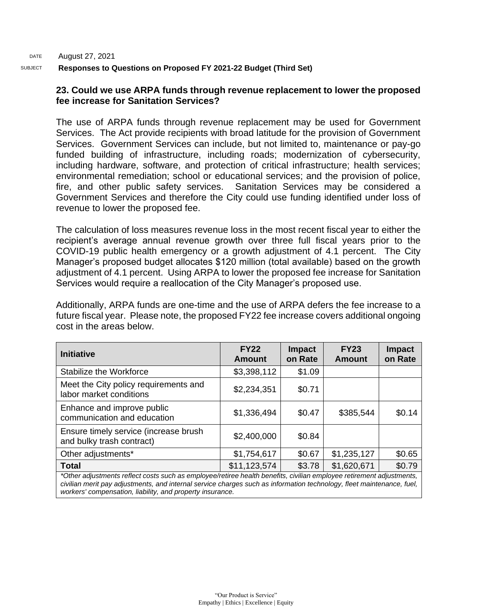### **23. Could we use ARPA funds through revenue replacement to lower the proposed fee increase for Sanitation Services?**

The use of ARPA funds through revenue replacement may be used for Government Services. The Act provide recipients with broad latitude for the provision of Government Services. Government Services can include, but not limited to, maintenance or pay-go funded building of infrastructure, including roads; modernization of cybersecurity, including hardware, software, and protection of critical infrastructure; health services; environmental remediation; school or educational services; and the provision of police, fire, and other public safety services. Sanitation Services may be considered a Government Services and therefore the City could use funding identified under loss of revenue to lower the proposed fee.

The calculation of loss measures revenue loss in the most recent fiscal year to either the recipient's average annual revenue growth over three full fiscal years prior to the COVID-19 public health emergency or a growth adjustment of 4.1 percent. The City Manager's proposed budget allocates \$120 million (total available) based on the growth adjustment of 4.1 percent. Using ARPA to lower the proposed fee increase for Sanitation Services would require a reallocation of the City Manager's proposed use.

Additionally, ARPA funds are one-time and the use of ARPA defers the fee increase to a future fiscal year. Please note, the proposed FY22 fee increase covers additional ongoing cost in the areas below.

| <b>Initiative</b>                                                                                                    | <b>FY22</b><br>Amount | <b>Impact</b><br>on Rate | <b>FY23</b><br>Amount | <b>Impact</b><br>on Rate |
|----------------------------------------------------------------------------------------------------------------------|-----------------------|--------------------------|-----------------------|--------------------------|
| Stabilize the Workforce                                                                                              | \$3,398,112           | \$1.09                   |                       |                          |
| Meet the City policy requirements and<br>labor market conditions                                                     | \$2,234,351           | \$0.71                   |                       |                          |
| Enhance and improve public<br>communication and education                                                            | \$1,336,494           | \$0.47                   | \$385,544             | \$0.14                   |
| Ensure timely service (increase brush<br>and bulky trash contract)                                                   | \$2,400,000           | \$0.84                   |                       |                          |
| Other adjustments*                                                                                                   | \$1,754,617           | \$0.67                   | \$1,235,127           | \$0.65                   |
| <b>Total</b>                                                                                                         | \$11,123,574          | \$3.78                   | \$1,620,671           | \$0.79                   |
| *Other adjustments reflect costs such as employee/retiree health benefits, civilian employee retirement adjustments, |                       |                          |                       |                          |

*civilian merit pay adjustments, and internal service charges such as information technology, fleet maintenance, fuel, workers' compensation, liability, and property insurance.*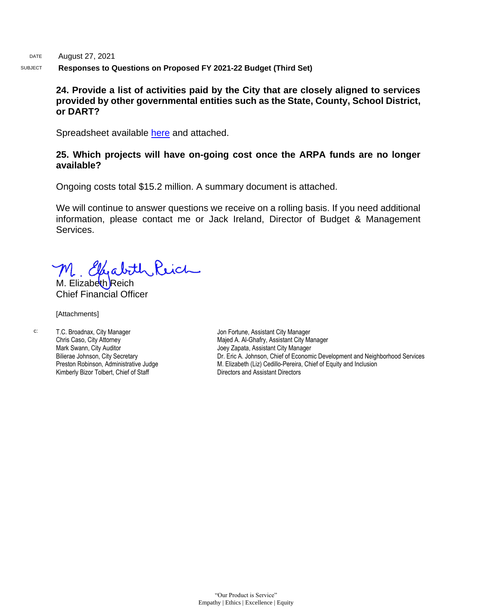### **24. Provide a list of activities paid by the City that are closely aligned to services provided by other governmental entities such as the State, County, School District, or DART?**

Spreadsheet available [here](https://dallascityhall.com/government/Council%20Meeting%20Documents/City-Services-Aligned-Partner-Orgs.xlsx) and attached.

### **25. Which projects will have on-going cost once the ARPA funds are no longer available?**

Ongoing costs total \$15.2 million. A summary document is attached.

We will continue to answer questions we receive on a rolling basis. If you need additional information, please contact me or Jack Ireland, Director of Budget & Management Services.

M. Ellenabith Reich

Chief Financial Officer

[Attachments]

c: T.C. Broadnax, City Manager Chris Caso, City Attorney Mark Swann, City Auditor Bilierae Johnson, City Secretary Preston Robinson, Administrative Judge Kimberly Bizor Tolbert, Chief of Staff

Jon Fortune, Assistant City Manager Majed A. Al-Ghafry, Assistant City Manager Joey Zapata, Assistant City Manager Dr. Eric A. Johnson, Chief of Economic Development and Neighborhood Services M. Elizabeth (Liz) Cedillo-Pereira, Chief of Equity and Inclusion Directors and Assistant Directors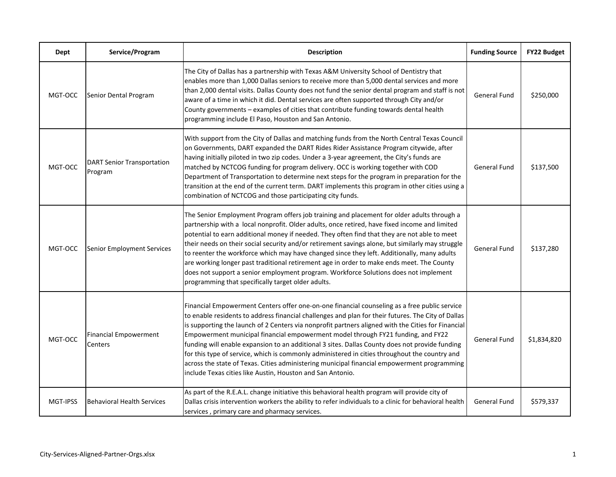| Dept     | Service/Program                              | <b>Description</b>                                                                                                                                                                                                                                                                                                                                                                                                                                                                                                                                                                                                                                                                                                                                           | <b>Funding Source</b> | FY22 Budget |
|----------|----------------------------------------------|--------------------------------------------------------------------------------------------------------------------------------------------------------------------------------------------------------------------------------------------------------------------------------------------------------------------------------------------------------------------------------------------------------------------------------------------------------------------------------------------------------------------------------------------------------------------------------------------------------------------------------------------------------------------------------------------------------------------------------------------------------------|-----------------------|-------------|
| MGT-OCC  | Senior Dental Program                        | The City of Dallas has a partnership with Texas A&M University School of Dentistry that<br>enables more than 1,000 Dallas seniors to receive more than 5,000 dental services and more<br>than 2,000 dental visits. Dallas County does not fund the senior dental program and staff is not<br>aware of a time in which it did. Dental services are often supported through City and/or<br>County governments - examples of cities that contribute funding towards dental health<br>programming include El Paso, Houston and San Antonio.                                                                                                                                                                                                                      | <b>General Fund</b>   | \$250,000   |
| MGT-OCC  | <b>DART Senior Transportation</b><br>Program | With support from the City of Dallas and matching funds from the North Central Texas Council<br>on Governments, DART expanded the DART Rides Rider Assistance Program citywide, after<br>having initially piloted in two zip codes. Under a 3-year agreement, the City's funds are<br>matched by NCTCOG funding for program delivery. OCC is working together with COD<br>Department of Transportation to determine next steps for the program in preparation for the<br>transition at the end of the current term. DART implements this program in other cities using a<br>combination of NCTCOG and those participating city funds.                                                                                                                        | General Fund          | \$137,500   |
| MGT-OCC  | Senior Employment Services                   | The Senior Employment Program offers job training and placement for older adults through a<br>partnership with a local nonprofit. Older adults, once retired, have fixed income and limited<br>potential to earn additional money if needed. They often find that they are not able to meet<br>their needs on their social security and/or retirement savings alone, but similarly may struggle<br>to reenter the workforce which may have changed since they left. Additionally, many adults<br>are working longer past traditional retirement age in order to make ends meet. The County<br>does not support a senior employment program. Workforce Solutions does not implement<br>programming that specifically target older adults.                     | <b>General Fund</b>   | \$137,280   |
| MGT-OCC  | <b>Financial Empowerment</b><br>Centers      | Financial Empowerment Centers offer one-on-one financial counseling as a free public service<br>to enable residents to address financial challenges and plan for their futures. The City of Dallas<br>is supporting the launch of 2 Centers via nonprofit partners aligned with the Cities for Financial<br>Empowerment municipal financial empowerment model through FY21 funding, and FY22<br>funding will enable expansion to an additional 3 sites. Dallas County does not provide funding<br>for this type of service, which is commonly administered in cities throughout the country and<br>across the state of Texas. Cities administering municipal financial empowerment programming<br>include Texas cities like Austin, Houston and San Antonio. | General Fund          | \$1,834,820 |
| MGT-IPSS | <b>Behavioral Health Services</b>            | As part of the R.E.A.L. change initiative this behavioral health program will provide city of<br>Dallas crisis intervention workers the ability to refer individuals to a clinic for behavioral health<br>services, primary care and pharmacy services.                                                                                                                                                                                                                                                                                                                                                                                                                                                                                                      | General Fund          | \$579,337   |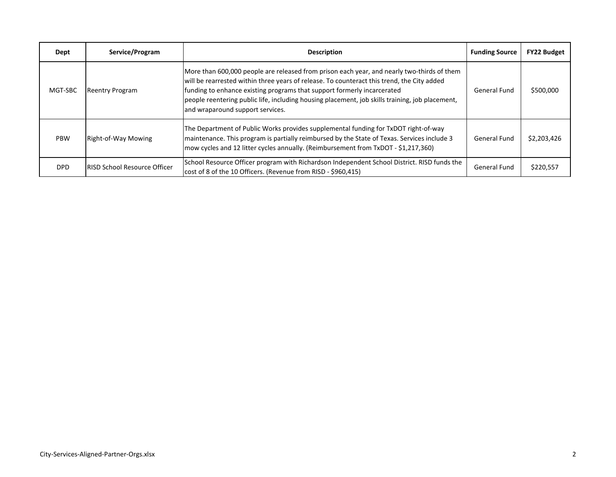| Dept       | Service/Program                     | <b>Description</b>                                                                                                                                                                                                                                                                                                                                                                                         | <b>Funding Source</b> | <b>FY22 Budget</b> |
|------------|-------------------------------------|------------------------------------------------------------------------------------------------------------------------------------------------------------------------------------------------------------------------------------------------------------------------------------------------------------------------------------------------------------------------------------------------------------|-----------------------|--------------------|
| MGT-SBC    | <b>Reentry Program</b>              | More than 600,000 people are released from prison each year, and nearly two-thirds of them<br>will be rearrested within three years of release. To counteract this trend, the City added<br>funding to enhance existing programs that support formerly incarcerated<br>people reentering public life, including housing placement, job skills training, job placement,<br>and wraparound support services. | General Fund          | \$500,000          |
| <b>PBW</b> | Right-of-Way Mowing                 | The Department of Public Works provides supplemental funding for TxDOT right-of-way<br>maintenance. This program is partially reimbursed by the State of Texas. Services include 3<br>mow cycles and 12 litter cycles annually. (Reimbursement from TxDOT - \$1,217,360)                                                                                                                                   | General Fund          | \$2,203,426        |
| <b>DPD</b> | <b>RISD School Resource Officer</b> | School Resource Officer program with Richardson Independent School District. RISD funds the<br>cost of 8 of the 10 Officers. (Revenue from RISD - \$960,415)                                                                                                                                                                                                                                               | General Fund          | \$220,557          |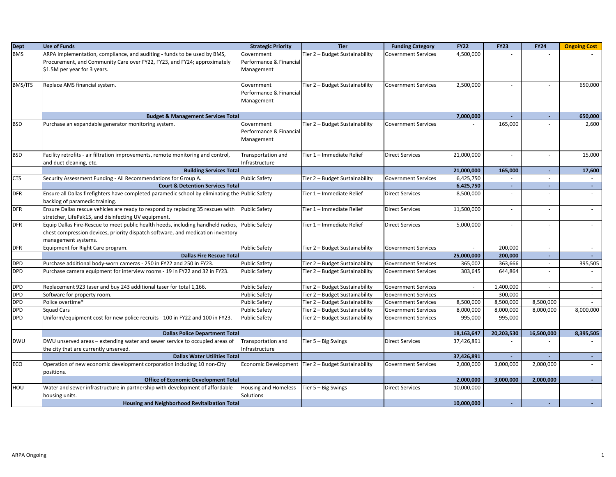| <b>Dept</b> | <b>Use of Funds</b>                                                                                           | <b>Strategic Priority</b>   | <b>Tier</b>                    | <b>Funding Category</b>    | <b>FY22</b>             | <b>FY23</b>       | <b>FY24</b>              | <b>Ongoing Cost</b> |
|-------------|---------------------------------------------------------------------------------------------------------------|-----------------------------|--------------------------------|----------------------------|-------------------------|-------------------|--------------------------|---------------------|
| <b>BMS</b>  | ARPA implementation, compliance, and auditing - funds to be used by BMS,                                      | Government                  | Tier 2 - Budget Sustainability | <b>Government Services</b> | 4,500,000               |                   |                          |                     |
|             | Procurement, and Community Care over FY22, FY23, and FY24; approximately                                      | Performance & Financial     |                                |                            |                         |                   |                          |                     |
|             | \$1.5M per year for 3 years.                                                                                  | Management                  |                                |                            |                         |                   |                          |                     |
|             |                                                                                                               |                             |                                |                            |                         |                   |                          |                     |
| BMS/ITS     | Replace AMS financial system.                                                                                 | Government                  | Tier 2 - Budget Sustainability | <b>Government Services</b> | 2,500,000               |                   |                          | 650,000             |
|             |                                                                                                               | Performance & Financial     |                                |                            |                         |                   |                          |                     |
|             |                                                                                                               | Management                  |                                |                            |                         |                   |                          |                     |
|             |                                                                                                               |                             |                                |                            |                         |                   |                          |                     |
|             | <b>Budget &amp; Management Services Total</b>                                                                 |                             |                                |                            | 7,000,000               | $\sim$            | $\omega$                 | 650,000             |
| <b>BSD</b>  | Purchase an expandable generator monitoring system.                                                           | Government                  | Tier 2 - Budget Sustainability | <b>Government Services</b> |                         | 165,000           |                          | 2,600               |
|             |                                                                                                               | Performance & Financial     |                                |                            |                         |                   |                          |                     |
|             |                                                                                                               | Management                  |                                |                            |                         |                   |                          |                     |
|             |                                                                                                               |                             |                                |                            |                         |                   |                          |                     |
| <b>BSD</b>  | Facility retrofits - air filtration improvements, remote monitoring and control,                              | Transportation and          | Tier 1 - Immediate Relief      | <b>Direct Services</b>     | 21,000,000              | ä,                | $\blacksquare$           | 15,000              |
|             | and duct cleaning, etc.                                                                                       | Infrastructure              |                                |                            |                         |                   |                          |                     |
| <b>CTS</b>  | <b>Building Services Total</b>                                                                                |                             |                                | <b>Government Services</b> | 21,000,000<br>6,425,750 | 165,000<br>$\sim$ | $\sim$<br>$\sim$         | 17,600<br>$\sim$    |
|             | Security Assessment Funding - All Recommendations for Group A.<br><b>Court &amp; Detention Services Total</b> | <b>Public Safety</b>        | Tier 2 - Budget Sustainability |                            | 6,425,750               | $\sim$            | $\sim$                   | $\sim$              |
| <b>DFR</b>  | Ensure all Dallas firefighters have completed paramedic school by eliminating the Public Safety               |                             | Tier 1 - Immediate Relief      | <b>Direct Services</b>     | 8,500,000               |                   | $\sim$                   |                     |
|             | backlog of paramedic training.                                                                                |                             |                                |                            |                         |                   |                          |                     |
| <b>DFR</b>  | Ensure Dallas rescue vehicles are ready to respond by replacing 35 rescues with                               | <b>Public Safety</b>        | Tier 1 – Immediate Relief      | <b>Direct Services</b>     | 11,500,000              |                   |                          | $\sim$              |
|             | stretcher, LifePak15, and disinfecting UV equipment.                                                          |                             |                                |                            |                         |                   |                          |                     |
| <b>DFR</b>  | Equip Dallas Fire-Rescue to meet public health heeds, including handheld radios, Public Safety                |                             | Tier 1 – Immediate Relief      | <b>Direct Services</b>     | 5,000,000               | ÷.                | $\sim$                   | $\sim$              |
|             | chest compression devices, priority dispatch software, and medication inventory                               |                             |                                |                            |                         |                   |                          |                     |
|             | management systems.                                                                                           |                             |                                |                            |                         |                   |                          |                     |
| <b>DFR</b>  | Equipment for Right Care program.                                                                             | <b>Public Safety</b>        | Tier 2 - Budget Sustainability | <b>Government Services</b> |                         | 200,000           | $\sim$                   |                     |
|             | <b>Dallas Fire Rescue Total</b>                                                                               |                             |                                |                            | 25,000,000              | 200,000           | $\omega_{\rm c}$         |                     |
| DPD         | Purchase additional body-worn cameras - 250 in FY22 and 250 in FY23.                                          | <b>Public Safety</b>        | Tier 2 - Budget Sustainability | <b>Government Services</b> | 365,002                 | 363,666           | $\sim$                   | 395,505             |
| <b>DPD</b>  | Purchase camera equipment for interview rooms - 19 in FY22 and 32 in FY23.                                    | <b>Public Safety</b>        | Tier 2 - Budget Sustainability | <b>Government Services</b> | 303,645                 | 644,864           | $\sim$                   |                     |
|             |                                                                                                               |                             |                                |                            |                         |                   |                          |                     |
| <b>DPD</b>  | Replacement 923 taser and buy 243 additional taser for total 1,166.                                           | <b>Public Safety</b>        | Tier 2 - Budget Sustainability | <b>Government Services</b> | $\sim$                  | 1,400,000         | $\overline{\phantom{a}}$ | $\sim$              |
| <b>DPD</b>  | Software for property room.                                                                                   | <b>Public Safety</b>        | Tier 2 - Budget Sustainability | <b>Government Services</b> |                         | 300,000           |                          | $\sim$              |
| <b>DPD</b>  | Police overtime*                                                                                              | <b>Public Safety</b>        | Tier 2 - Budget Sustainability | <b>Government Services</b> | 8,500,000               | 8,500,000         | 8,500,000                | $\sim$              |
| <b>DPD</b>  | <b>Squad Cars</b>                                                                                             | <b>Public Safety</b>        | Tier 2 - Budget Sustainability | <b>Government Services</b> | 8,000,000               | 8,000,000         | 8,000,000                | 8,000,000           |
| <b>DPD</b>  | Uniform/equipment cost for new police recruits - 100 in FY22 and 100 in FY23.                                 | <b>Public Safety</b>        | Tier 2 - Budget Sustainability | <b>Government Services</b> | 995,000                 | 995,000           |                          |                     |
|             |                                                                                                               |                             |                                |                            |                         |                   |                          |                     |
|             | <b>Dallas Police Department Total</b>                                                                         |                             |                                |                            | 18,163,647              | 20,203,530        | 16,500,000               | 8,395,505           |
| <b>DWU</b>  | DWU unserved areas - extending water and sewer service to occupied areas of                                   | Transportation and          | Tier 5 - Big Swings            | <b>Direct Services</b>     | 37,426,891              |                   |                          |                     |
|             | the city that are currently unserved.                                                                         | Infrastructure              |                                |                            |                         |                   |                          |                     |
|             | <b>Dallas Water Utilities Total</b>                                                                           |                             |                                |                            | 37,426,891              | $\sim$            |                          | $\sim$              |
| ECO         | Operation of new economic development corporation including 10 non-City                                       | <b>Economic Development</b> | Tier 2 - Budget Sustainability | <b>Government Services</b> | 2,000,000               | 3,000,000         | 2,000,000                | $\sim$              |
|             | positions.                                                                                                    |                             |                                |                            |                         |                   |                          |                     |
|             | <b>Office of Economic Development Total</b>                                                                   |                             |                                |                            | 2,000,000               | 3,000,000         | 2,000,000                | $\sim$              |
| HOU         | Water and sewer infrastructure in partnership with development of affordable                                  | Housing and Homeless        | Tier $5 - Big$ Swings          | <b>Direct Services</b>     | 10,000,000              | $\sim$            |                          | $\sim$              |
|             | housing units.                                                                                                | Solutions                   |                                |                            |                         |                   |                          |                     |
|             | Housing and Neighborhood Revitalization Total                                                                 |                             |                                |                            | 10,000,000              |                   |                          |                     |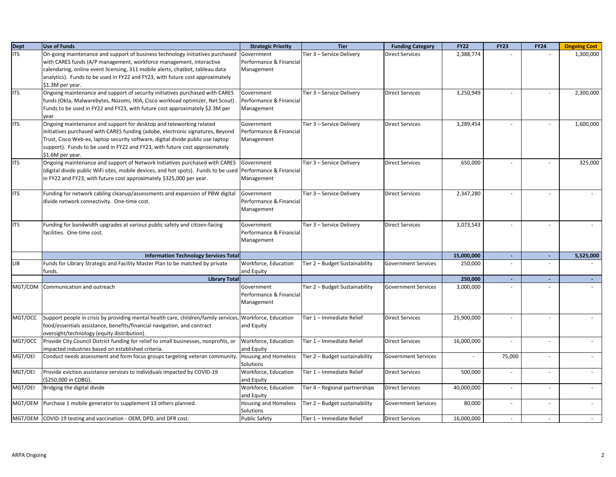| Dept<br>ITS | <b>Use of Funds</b>                                                                                         | <b>Strategic Priority</b>   | <b>Tier</b>                    | <b>Funding Category</b>    | <b>FY22</b> | <b>FY23</b> | <b>FY24</b> | <b>Ongoing Cost</b> |
|-------------|-------------------------------------------------------------------------------------------------------------|-----------------------------|--------------------------------|----------------------------|-------------|-------------|-------------|---------------------|
|             | On-going maintenance and support of business technology initiatives purchased                               | Government                  | Tier 3 - Service Delivery      | <b>Direct Services</b>     | 2,388,774   |             |             | 1,300,000           |
|             | with CARES funds (A/P management, workforce management, interactive                                         | Performance & Financial     |                                |                            |             |             |             |                     |
|             | calendaring, online event licensing, 311 mobile alerts, chatbot, tableau data                               | Management                  |                                |                            |             |             |             |                     |
|             | analytics). Funds to be used in FY22 and FY23, with future cost approximately                               |                             |                                |                            |             |             |             |                     |
|             | \$1.3M per year.                                                                                            |                             |                                |                            |             |             |             |                     |
| <b>ITS</b>  | Ongoing maintenance and support of security initiatives purchased with CARES                                | Government                  | Tier 3 - Service Delivery      | <b>Direct Services</b>     | 3,250,949   |             |             | 2,300,000           |
|             | funds (Okta, Malwarebytes, Nozomi, IXIA, Cisco workload optimizer, Net Scout)                               | Performance & Financial     |                                |                            |             |             |             |                     |
|             | Funds to be used in FY22 and FY23, with future cost approximately \$2.3M per                                | Management                  |                                |                            |             |             |             |                     |
|             | year.                                                                                                       |                             |                                |                            |             |             |             |                     |
| <b>ITS</b>  | Ongoing maintenance and support for desktop and teleworking related                                         | Government                  | Tier 3 - Service Delivery      | <b>Direct Services</b>     | 3,289,454   |             |             | 1,600,000           |
|             | initiatives purchased with CARES funding (adobe, electronic signatures, Beyond                              | Performance & Financial     |                                |                            |             |             |             |                     |
|             | Trust, Cisco Web-ex, laptop security software, digital divide public use laptop                             | Management                  |                                |                            |             |             |             |                     |
|             | support). Funds to be used in FY22 and FY23, with future cost approximately                                 |                             |                                |                            |             |             |             |                     |
|             | \$1.6M per year.                                                                                            |                             |                                |                            |             |             |             |                     |
| <b>ITS</b>  | Ongoing maintenance and support of Network Initiatives purchased with CARES                                 | Government                  | Tier 3 - Service Delivery      | <b>Direct Services</b>     | 650,000     |             |             | 325,000             |
|             | (digital divide public WiFi sites, mobile devices, and hot spots). Funds to be used Performance & Financial |                             |                                |                            |             |             |             |                     |
|             | in FY22 and FY23, with future cost approximately \$325,000 per year.                                        | Management                  |                                |                            |             |             |             |                     |
|             |                                                                                                             |                             |                                |                            |             |             |             |                     |
| <b>ITS</b>  | Funding for network cabling cleanup/assessments and expansion of PBW digital                                | Government                  | Tier 3 - Service Delivery      | <b>Direct Services</b>     | 2,347,280   |             |             |                     |
|             | divide network connectivity. One-time cost.                                                                 | Performance & Financial     |                                |                            |             |             |             |                     |
|             |                                                                                                             | Management                  |                                |                            |             |             |             |                     |
|             |                                                                                                             |                             |                                |                            |             |             |             |                     |
| <b>ITS</b>  | Funding for bandwidth upgrades at various public safety and citizen-facing                                  | Government                  | Tier 3 - Service Delivery      | <b>Direct Services</b>     | 3,073,543   |             |             |                     |
|             | facilities. One-time cost.                                                                                  | Performance & Financial     |                                |                            |             |             |             |                     |
|             |                                                                                                             | Management                  |                                |                            |             |             |             |                     |
|             |                                                                                                             |                             |                                |                            |             |             |             |                     |
|             | <b>Information Technology Services Total</b>                                                                |                             |                                |                            | 15,000,000  | $\sim$      | $\sim$      | 5,525,000           |
| <b>LIB</b>  | Funds for Library Strategic and Facility Master Plan to be matched by private                               | Workforce, Education        | Tier 2 - Budget Sustainability | <b>Government Services</b> | 250,000     | $\omega$    |             |                     |
|             | funds.                                                                                                      | and Equity                  |                                |                            |             |             |             |                     |
|             | <b>Library Total</b>                                                                                        |                             |                                |                            | 250,000     | $\sim$      | $\sim$      |                     |
| MGT/COM     | Communication and outreach                                                                                  | Government                  | Tier 2 - Budget Sustainability | <b>Government Services</b> | 3,000,000   |             |             |                     |
|             |                                                                                                             | Performance & Financial     |                                |                            |             |             |             |                     |
|             |                                                                                                             | Management                  |                                |                            |             |             |             |                     |
|             |                                                                                                             |                             |                                |                            |             |             |             |                     |
| MGT/OCC     | Support people in crisis by providing mental health care, children/family services,                         | Workforce, Education        | Tier 1 - Immediate Relief      | <b>Direct Services</b>     | 25,900,000  |             |             |                     |
|             | food/essentials assistance, benefits/financial navigation, and contract                                     | and Equity                  |                                |                            |             |             |             |                     |
|             | oversight/technology (equity distribution).                                                                 |                             |                                |                            |             |             |             |                     |
| MGT/OCC     | Provide City Council District funding for relief to small businesses, nonprofits, or                        | Workforce, Education        | Tier 1 - Immediate Relief      | <b>Direct Services</b>     | 16,000,000  |             |             |                     |
|             | impacted industries based on established criteria.                                                          | and Equity                  |                                |                            |             |             |             |                     |
| MGT/OEI     | Conduct needs assessment and form focus groups targeting veteran community                                  | Housing and Homeless        | Tier 2 - Budget sustainability | <b>Government Services</b> |             | 75,000      |             |                     |
|             |                                                                                                             | Solutions                   |                                |                            |             |             |             |                     |
| MGT/OEI     | Provide eviction assistance services to individuals impacted by COVID-19                                    | Workforce, Education        | Tier 1 - Immediate Relief      | <b>Direct Services</b>     | 500,000     |             |             |                     |
|             | (\$250,000 in CDBG).                                                                                        | and Equity                  |                                |                            |             |             |             |                     |
| MGT/OEI     | Bridging the digital divide                                                                                 | Workforce, Education        | Tier 4 - Regional partnerships | <b>Direct Services</b>     | 40,000,000  |             |             |                     |
|             |                                                                                                             | and Equity                  |                                |                            |             |             |             |                     |
| MGT/OEM     | Purchase 1 mobile generator to supplement 13 others planned.                                                | <b>Housing and Homeless</b> | Tier 2 - Budget sustainability | <b>Government Services</b> | 80,000      |             |             |                     |
|             |                                                                                                             | Solutions                   |                                |                            |             |             |             |                     |
|             | MGT/OEM COVID-19 testing and vaccination - OEM, DPD, and DFR cost.                                          | <b>Public Safety</b>        | Tier 1 - Immediate Relief      | <b>Direct Services</b>     | 16,000,000  |             |             |                     |